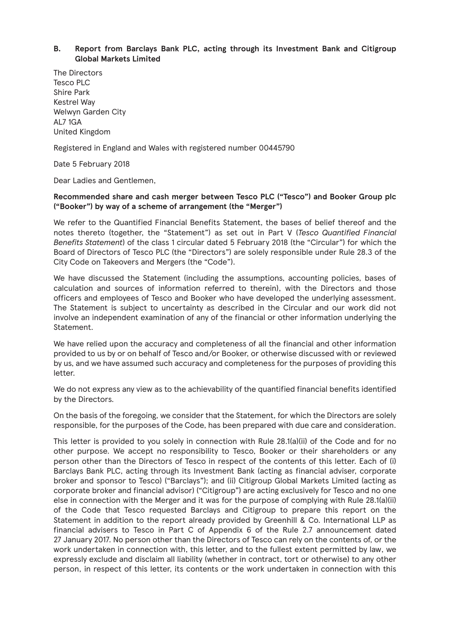## **B. Report from Barclays Bank PLC, acting through its Investment Bank and Citigroup Global Markets Limited**

The Directors Tesco PLC Shire Park Kestrel Way Welwyn Garden City AL7 1GA United Kingdom

Registered in England and Wales with registered number 00445790

Date 5 February 2018

Dear Ladies and Gentlemen,

## **Recommended share and cash merger between Tesco PLC ("Tesco") and Booker Group plc ("Booker") by way of a scheme of arrangement (the "Merger")**

We refer to the Quantified Financial Benefits Statement, the bases of belief thereof and the notes thereto (together, the "Statement") as set out in Part V (*Tesco Quantified Financial Benefits Statement*) of the class 1 circular dated 5 February 2018 (the "Circular") for which the Board of Directors of Tesco PLC (the "Directors") are solely responsible under Rule 28.3 of the City Code on Takeovers and Mergers (the "Code").

We have discussed the Statement (including the assumptions, accounting policies, bases of calculation and sources of information referred to therein), with the Directors and those officers and employees of Tesco and Booker who have developed the underlying assessment. The Statement is subject to uncertainty as described in the Circular and our work did not involve an independent examination of any of the financial or other information underlying the Statement.

We have relied upon the accuracy and completeness of all the financial and other information provided to us by or on behalf of Tesco and/or Booker, or otherwise discussed with or reviewed by us, and we have assumed such accuracy and completeness for the purposes of providing this letter.

We do not express any view as to the achievability of the quantified financial benefits identified by the Directors.

On the basis of the foregoing, we consider that the Statement, for which the Directors are solely responsible, for the purposes of the Code, has been prepared with due care and consideration.

This letter is provided to you solely in connection with Rule 28.1(a)(ii) of the Code and for no other purpose. We accept no responsibility to Tesco, Booker or their shareholders or any person other than the Directors of Tesco in respect of the contents of this letter. Each of (i) Barclays Bank PLC, acting through its Investment Bank (acting as financial adviser, corporate broker and sponsor to Tesco) ("Barclays"); and (ii) Citigroup Global Markets Limited (acting as corporate broker and financial advisor) ("Citigroup") are acting exclusively for Tesco and no one else in connection with the Merger and it was for the purpose of complying with Rule 28.1(a)(ii) of the Code that Tesco requested Barclays and Citigroup to prepare this report on the Statement in addition to the report already provided by Greenhill & Co. International LLP as financial advisers to Tesco in Part C of Appendix 6 of the Rule 2.7 announcement dated 27 January 2017. No person other than the Directors of Tesco can rely on the contents of, or the work undertaken in connection with, this letter, and to the fullest extent permitted by law, we expressly exclude and disclaim all liability (whether in contract, tort or otherwise) to any other person, in respect of this letter, its contents or the work undertaken in connection with this